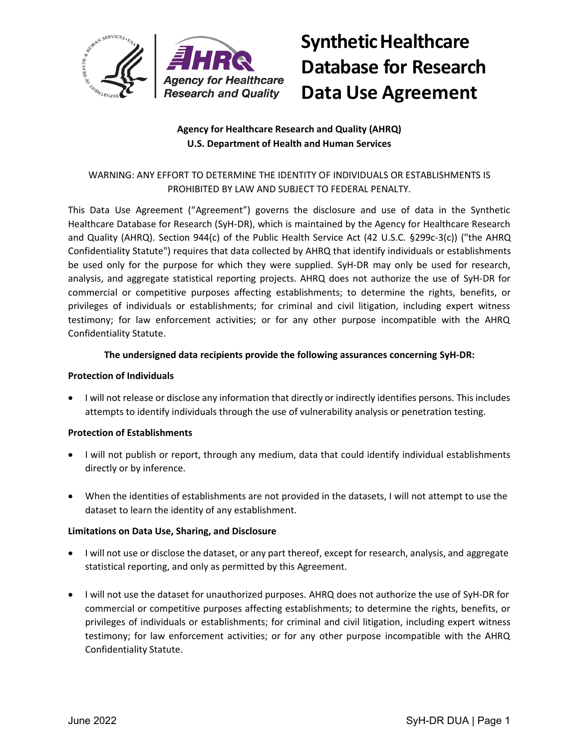

# **Synthetic Healthcare Database for Research Data Use Agreement**

# **Agency for Healthcare Research and Quality (AHRQ) U.S. Department of Health and Human Services**

# WARNING: ANY EFFORT TO DETERMINE THE IDENTITY OF INDIVIDUALS OR ESTABLISHMENTS IS PROHIBITED BY LAW AND SUBJECT TO FEDERAL PENALTY.

This Data Use Agreement ("Agreement") governs the disclosure and use of data in the Synthetic Healthcare Database for Research (SyH-DR), which is maintained by the Agency for Healthcare Research and Quality (AHRQ). Section 944(c) of the Public Health Service Act (42 U.S.C. §299c-3(c)) ("the AHRQ Confidentiality Statute") requires that data collected by AHRQ that identify individuals or establishments be used only for the purpose for which they were supplied. SyH-DR may only be used for research, analysis, and aggregate statistical reporting projects. AHRQ does not authorize the use of SyH-DR for commercial or competitive purposes affecting establishments; to determine the rights, benefits, or privileges of individuals or establishments; for criminal and civil litigation, including expert witness testimony; for law enforcement activities; or for any other purpose incompatible with the AHRQ Confidentiality Statute.

## **The undersigned data recipients provide the following assurances concerning SyH-DR:**

## **Protection of Individuals**

• I will not release or disclose any information that directly or indirectly identifies persons. This includes attempts to identify individuals through the use of vulnerability analysis or penetration testing.

# **Protection of Establishments**

- I will not publish or report, through any medium, data that could identify individual establishments directly or by inference.
- When the identities of establishments are not provided in the datasets, I will not attempt to use the dataset to learn the identity of any establishment.

#### **Limitations on Data Use, Sharing, and Disclosure**

- I will not use or disclose the dataset, or any part thereof, except for research, analysis, and aggregate statistical reporting, and only as permitted by this Agreement.
- I will not use the dataset for unauthorized purposes. AHRQ does not authorize the use of SyH-DR for commercial or competitive purposes affecting establishments; to determine the rights, benefits, or privileges of individuals or establishments; for criminal and civil litigation, including expert witness testimony; for law enforcement activities; or for any other purpose incompatible with the AHRQ Confidentiality Statute.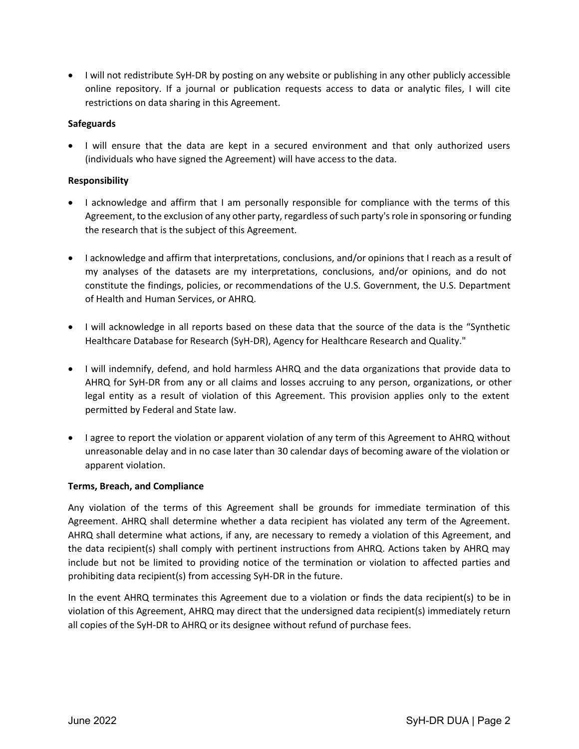• I will not redistribute SyH-DR by posting on any website or publishing in any other publicly accessible online repository. If a journal or publication requests access to data or analytic files, I will cite restrictions on data sharing in this Agreement.

#### **Safeguards**

• I will ensure that the data are kept in a secured environment and that only authorized users (individuals who have signed the Agreement) will have access to the data.

## **Responsibility**

- I acknowledge and affirm that I am personally responsible for compliance with the terms of this Agreement, to the exclusion of any other party, regardless of such party's role in sponsoring or funding the research that is the subject of this Agreement.
- I acknowledge and affirm that interpretations, conclusions, and/or opinions that I reach as a result of my analyses of the datasets are my interpretations, conclusions, and/or opinions, and do not constitute the findings, policies, or recommendations of the U.S. Government, the U.S. Department of Health and Human Services, or AHRQ.
- I will acknowledge in all reports based on these data that the source of the data is the "Synthetic Healthcare Database for Research (SyH-DR), Agency for Healthcare Research and Quality."
- I will indemnify, defend, and hold harmless AHRQ and the data organizations that provide data to AHRQ for SyH-DR from any or all claims and losses accruing to any person, organizations, or other legal entity as a result of violation of this Agreement. This provision applies only to the extent permitted by Federal and State law.
- I agree to report the violation or apparent violation of any term of this Agreement to AHRQ without unreasonable delay and in no case later than 30 calendar days of becoming aware of the violation or apparent violation.

#### **Terms, Breach, and Compliance**

Any violation of the terms of this Agreement shall be grounds for immediate termination of this Agreement. AHRQ shall determine whether a data recipient has violated any term of the Agreement. AHRQ shall determine what actions, if any, are necessary to remedy a violation of this Agreement, and the data recipient(s) shall comply with pertinent instructions from AHRQ. Actions taken by AHRQ may include but not be limited to providing notice of the termination or violation to affected parties and prohibiting data recipient(s) from accessing SyH-DR in the future.

In the event AHRQ terminates this Agreement due to a violation or finds the data recipient(s) to be in violation of this Agreement, AHRQ may direct that the undersigned data recipient(s) immediately return all copies of the SyH-DR to AHRQ or its designee without refund of purchase fees.